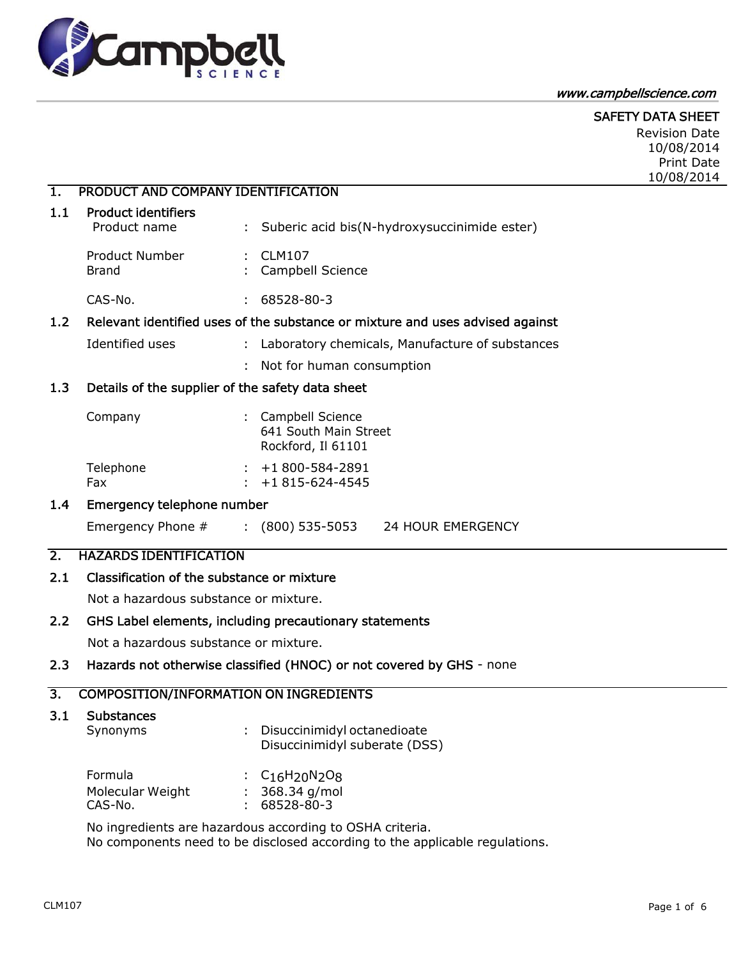

#### www.campbellscience.com

## SAFETY DATA SHEET

Revision Date 10/08/2014 Print Date 10/08/2014

## 1. PRODUCT AND COMPANY IDENTIFICATION

#### 1.1 Product identifiers

| Product name                   | : Suberic acid bis(N-hydroxysuccinimide ester) |
|--------------------------------|------------------------------------------------|
| <b>Product Number</b><br>Brand | $\therefore$ CLM107<br>: Campbell Science      |
| CAS-No.                        | 68528-80-3                                     |

#### 1.2 Relevant identified uses of the substance or mixture and uses advised against

Identified uses : Laboratory chemicals, Manufacture of substances

: Not for human consumption

## 1.3 Details of the supplier of the safety data sheet

| Company   | : Campbell Science      |
|-----------|-------------------------|
|           | 641 South Main Street   |
|           | Rockford, Il 61101      |
| Telephone | $\div$ +1800-584-2891   |
| Fax       | $\pm 1815 - 624 - 4545$ |

#### 1.4 Emergency telephone number

Emergency Phone # : (800) 535-5053 24 HOUR EMERGENCY

## 2. HAZARDS IDENTIFICATION

#### 2.1 Classification of the substance or mixture

Not a hazardous substance or mixture.

## 2.2 GHS Label elements, including precautionary statements

Not a hazardous substance or mixture.

#### 2.3 Hazards not otherwise classified (HNOC) or not covered by GHS - none

## 3. COMPOSITION/INFORMATION ON INGREDIENTS

## 3.1 Substances

| Synonyms | Disuccinimidyl octanedioate   |  |
|----------|-------------------------------|--|
|          | Disuccinimidyl suberate (DSS) |  |

| <b>Formula</b>   | : $C_{16}H_{20}N_{2}O_{8}$ |
|------------------|----------------------------|
| Molecular Weight | $: 368.34$ g/mol           |
| CAS-No.          | : 68528-80-3               |

No ingredients are hazardous according to OSHA criteria. No components need to be disclosed according to the applicable regulations.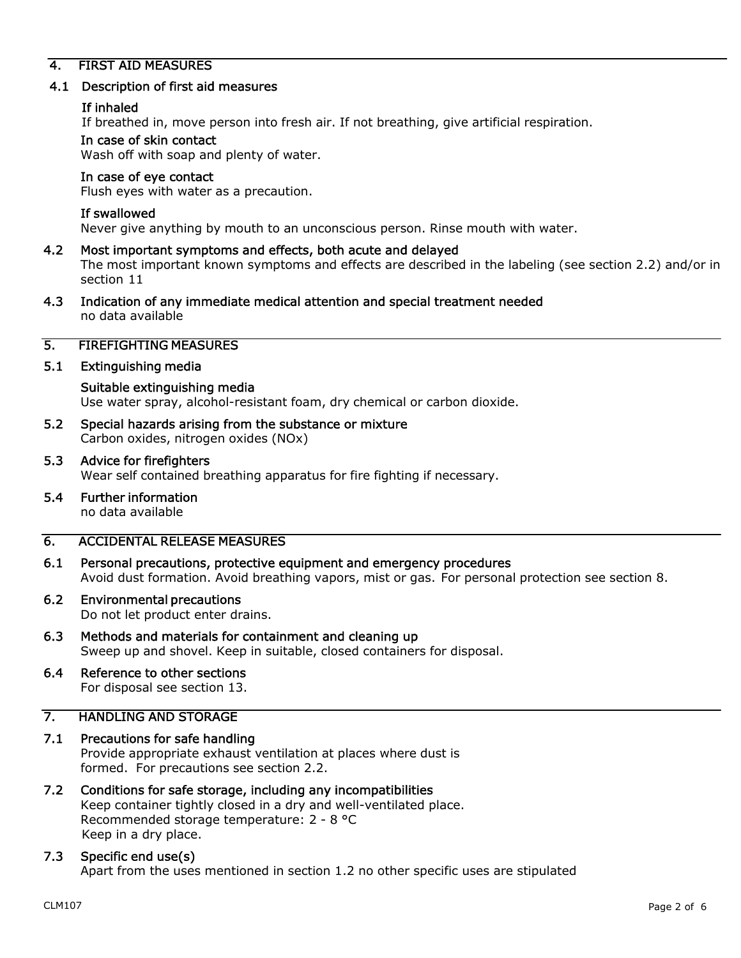## 4. FIRST AID MEASURES

#### 4.1 Description of first aid measures

#### If inhaled

If breathed in, move person into fresh air. If not breathing, give artificial respiration.

#### In case of skin contact

Wash off with soap and plenty of water.

## In case of eye contact

Flush eyes with water as a precaution.

#### If swallowed

Never give anything by mouth to an unconscious person. Rinse mouth with water.

## 4.2 Most important symptoms and effects, both acute and delayed The most important known symptoms and effects are described in the labeling (see section 2.2) and/or in section 11

4.3 Indication of any immediate medical attention and special treatment needed no data available

## 5. FIREFIGHTING MEASURES

#### 5.1 Extinguishing media

# Suitable extinguishing media Use water spray, alcohol-resistant foam, dry chemical or carbon dioxide.

- 5.2 Special hazards arising from the substance or mixture Carbon oxides, nitrogen oxides (NOx)
- 5.3 Advice for firefighters Wear self contained breathing apparatus for fire fighting if necessary.
- 5.4 Further information no data available

## 6. ACCIDENTAL RELEASE MEASURES

6.1 Personal precautions, protective equipment and emergency procedures Avoid dust formation. Avoid breathing vapors, mist or gas. For personal protection see section 8.

# 6.2 Environmental precautions

Do not let product enter drains.

6.3 Methods and materials for containment and cleaning up Sweep up and shovel. Keep in suitable, closed containers for disposal.

# 6.4 Reference to other sections

For disposal see section 13.

# 7. HANDLING AND STORAGE

# 7.1 Precautions for safe handling

Provide appropriate exhaust ventilation at places where dust is formed. For precautions see section 2.2.

## 7.2 Conditions for safe storage, including any incompatibilities Keep container tightly closed in a dry and well-ventilated place. Recommended storage temperature: 2 - 8 °C Keep in a dry place.

## 7.3 Specific end use(s)

Apart from the uses mentioned in section 1.2 no other specific uses are stipulated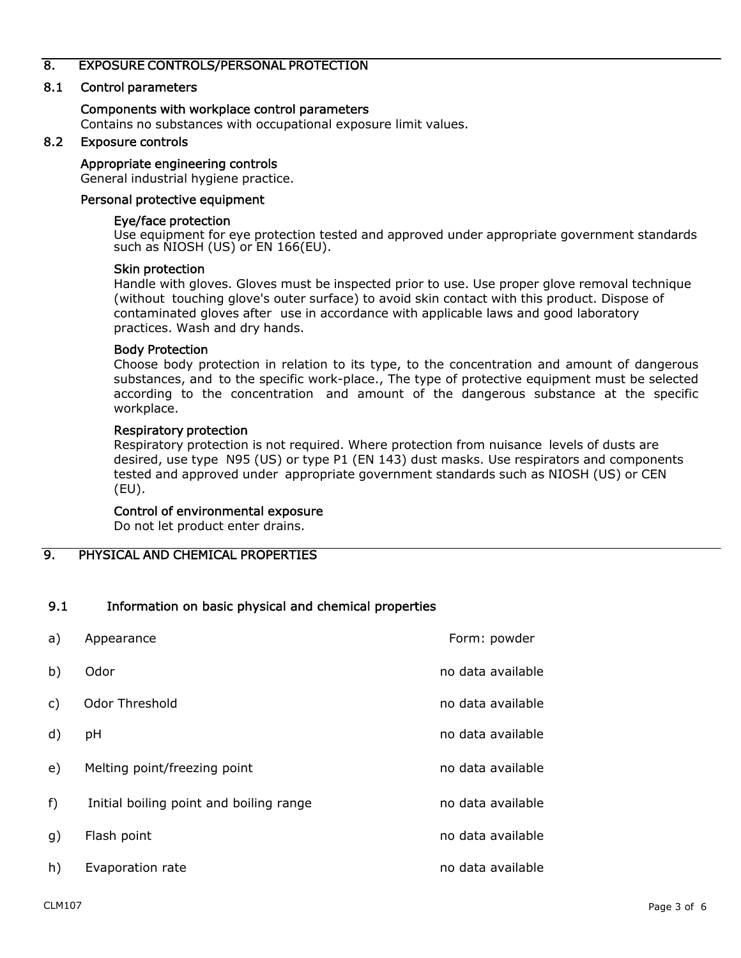## 8. EXPOSURE CONTROLS/PERSONAL PROTECTION

## 8.1 Control parameters

#### Components with workplace control parameters

Contains no substances with occupational exposure limit values.

## 8.2 Exposure controls

#### Appropriate engineering controls

General industrial hygiene practice.

#### Personal protective equipment

#### Eye/face protection

Use equipment for eye protection tested and approved under appropriate government standards such as NIOSH (US) or EN 166(EU).

#### Skin protection

Handle with gloves. Gloves must be inspected prior to use. Use proper glove removal technique (without touching glove's outer surface) to avoid skin contact with this product. Dispose of contaminated gloves after use in accordance with applicable laws and good laboratory practices. Wash and dry hands.

#### Body Protection

Choose body protection in relation to its type, to the concentration and amount of dangerous substances, and to the specific work-place., The type of protective equipment must be selected according to the concentration and amount of the dangerous substance at the specific workplace.

#### Respiratory protection

Respiratory protection is not required. Where protection from nuisance levels of dusts are desired, use type N95 (US) or type P1 (EN 143) dust masks. Use respirators and components tested and approved under appropriate government standards such as NIOSH (US) or CEN (EU).

## Control of environmental exposure

Do not let product enter drains.

9. PHYSICAL AND CHEMICAL PROPERTIES

## 9.1 Information on basic physical and chemical properties

| a)             | Appearance                              | Form: powder      |
|----------------|-----------------------------------------|-------------------|
| b)             | Odor                                    | no data available |
| $\mathsf{C}$ ) | Odor Threshold                          | no data available |
| d)             | pH                                      | no data available |
| e)             | Melting point/freezing point            | no data available |
| $f$ )          | Initial boiling point and boiling range | no data available |
| g)             | Flash point                             | no data available |
| h)             | Evaporation rate                        | no data available |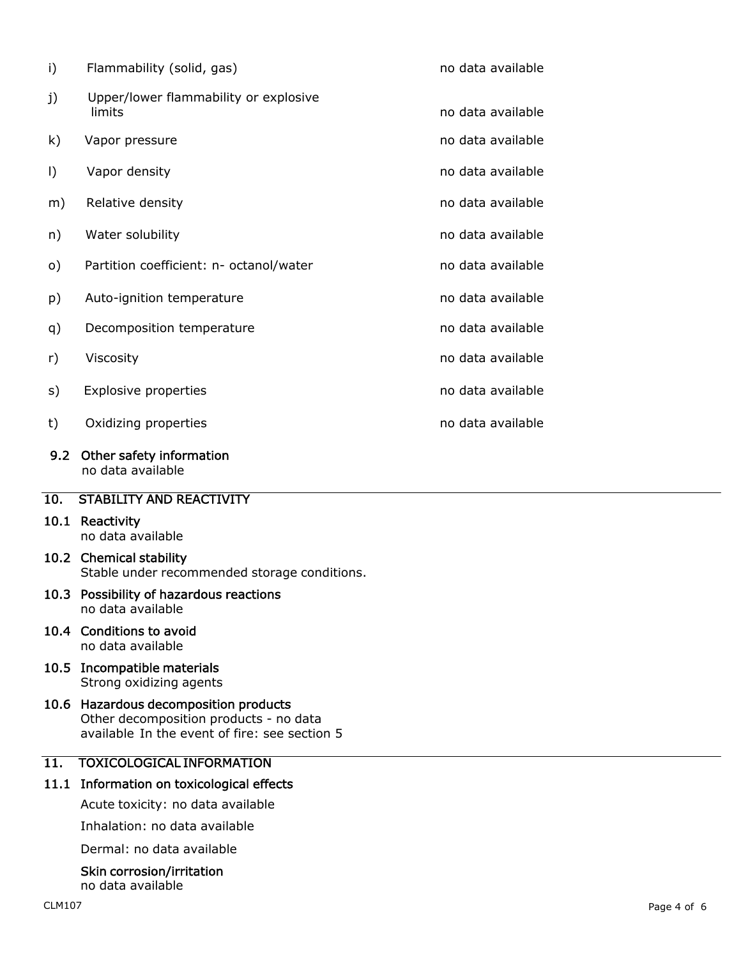| i)            | Flammability (solid, gas)                                               | no data available |
|---------------|-------------------------------------------------------------------------|-------------------|
| j)            | Upper/lower flammability or explosive<br>limits                         | no data available |
| k)            | Vapor pressure                                                          | no data available |
| I)            | Vapor density                                                           | no data available |
| m)            | Relative density                                                        | no data available |
| n)            | Water solubility                                                        | no data available |
| $\circ)$      | Partition coefficient: n- octanol/water                                 | no data available |
| p)            | Auto-ignition temperature                                               | no data available |
| q)            | Decomposition temperature                                               | no data available |
| r)            | Viscosity                                                               | no data available |
| s)            | Explosive properties                                                    | no data available |
| t)            | Oxidizing properties                                                    | no data available |
| $9.2^{\circ}$ | Other safety information<br>no data available                           |                   |
| 10.           | <b>STABILITY AND REACTIVITY</b>                                         |                   |
|               | 10.1 Reactivity<br>no data available                                    |                   |
|               | 10.2 Chemical stability<br>Stable under recommended storage conditions. |                   |
|               | 10.3 Possibility of hazardous reactions<br>no data available            |                   |

#### 10.4 Conditions to avoid no data available

10.5 Incompatible materials Strong oxidizing agents

#### 10.6 Hazardous decomposition products Other decomposition products - no data available In the event of fire: see section 5

# 11. TOXICOLOGICAL INFORMATION

## 11.1 Information on toxicological effects

Acute toxicity: no data available

Inhalation: no data available

Dermal: no data available

# Skin corrosion/irritation

no data available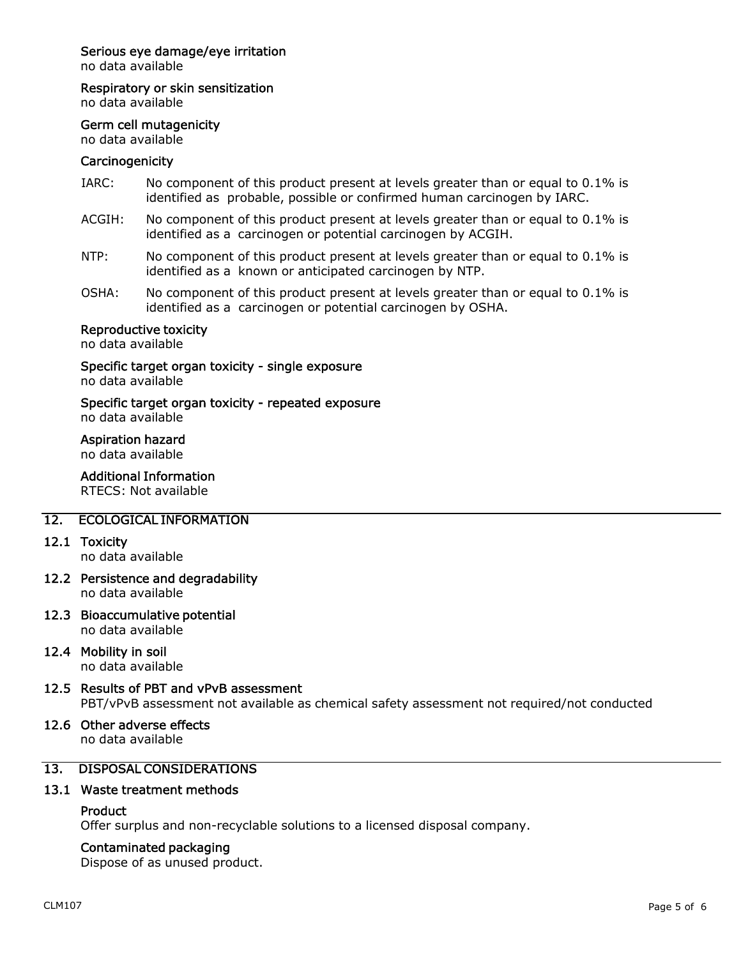## Serious eye damage/eye irritation

no data available

Respiratory or skin sensitization

no data available

#### Germ cell mutagenicity

no data available

#### **Carcinogenicity**

- IARC: No component of this product present at levels greater than or equal to 0.1% is identified as probable, possible or confirmed human carcinogen by IARC.
- ACGIH: No component of this product present at levels greater than or equal to 0.1% is identified as a carcinogen or potential carcinogen by ACGIH.
- NTP: No component of this product present at levels greater than or equal to 0.1% is identified as a known or anticipated carcinogen by NTP.
- OSHA: No component of this product present at levels greater than or equal to 0.1% is identified as a carcinogen or potential carcinogen by OSHA.

## Reproductive toxicity

no data available

Specific target organ toxicity - single exposure no data available

#### Specific target organ toxicity - repeated exposure no data available

# Aspiration hazard

no data available

## Additional Information

RTECS: Not available

## 12. ECOLOGICAL INFORMATION

#### 12.1 Toxicity

no data available

12.2 Persistence and degradability no data available

# 12.3 Bioaccumulative potential

no data available

## 12.4 Mobility in soil

no data available

# 12.5 Results of PBT and vPvB assessment

PBT/vPvB assessment not available as chemical safety assessment not required/not conducted

# 12.6 Other adverse effects

no data available

# 13. DISPOSAL CONSIDERATIONS

## 13.1 Waste treatment methods

## **Product**

Offer surplus and non-recyclable solutions to a licensed disposal company.

## Contaminated packaging

Dispose of as unused product.